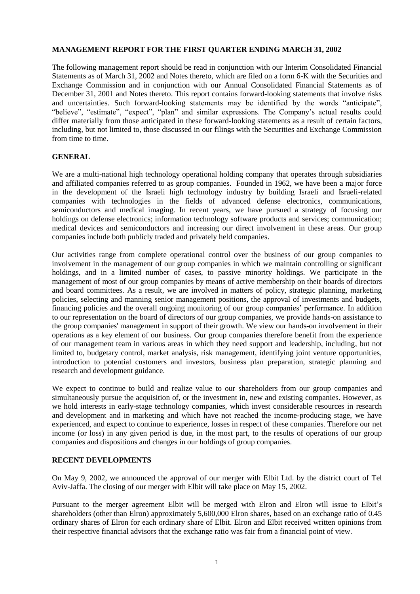#### **MANAGEMENT REPORT FOR THE FIRST QUARTER ENDING MARCH 31, 2002**

The following management report should be read in conjunction with our Interim Consolidated Financial Statements as of March 31, 2002 and Notes thereto, which are filed on a form 6-K with the Securities and Exchange Commission and in conjunction with our Annual Consolidated Financial Statements as of December 31, 2001 and Notes thereto. This report contains forward-looking statements that involve risks and uncertainties. Such forward-looking statements may be identified by the words "anticipate", "believe", "estimate", "expect", "plan" and similar expressions. The Company's actual results could differ materially from those anticipated in these forward-looking statements as a result of certain factors, including, but not limited to, those discussed in our filings with the Securities and Exchange Commission from time to time.

### **GENERAL**

We are a multi-national high technology operational holding company that operates through subsidiaries and affiliated companies referred to as group companies. Founded in 1962, we have been a major force in the development of the Israeli high technology industry by building Israeli and Israeli-related companies with technologies in the fields of advanced defense electronics, communications, semiconductors and medical imaging. In recent years, we have pursued a strategy of focusing our holdings on defense electronics; information technology software products and services; communication; medical devices and semiconductors and increasing our direct involvement in these areas. Our group companies include both publicly traded and privately held companies.

Our activities range from complete operational control over the business of our group companies to involvement in the management of our group companies in which we maintain controlling or significant holdings, and in a limited number of cases, to passive minority holdings. We participate in the management of most of our group companies by means of active membership on their boards of directors and board committees. As a result, we are involved in matters of policy, strategic planning, marketing policies, selecting and manning senior management positions, the approval of investments and budgets, financing policies and the overall ongoing monitoring of our group companies' performance. In addition to our representation on the board of directors of our group companies, we provide hands-on assistance to the group companies' management in support of their growth. We view our hands-on involvement in their operations as a key element of our business. Our group companies therefore benefit from the experience of our management team in various areas in which they need support and leadership, including, but not limited to, budgetary control, market analysis, risk management, identifying joint venture opportunities, introduction to potential customers and investors, business plan preparation, strategic planning and research and development guidance.

We expect to continue to build and realize value to our shareholders from our group companies and simultaneously pursue the acquisition of, or the investment in, new and existing companies. However, as we hold interests in early-stage technology companies, which invest considerable resources in research and development and in marketing and which have not reached the income-producing stage, we have experienced, and expect to continue to experience, losses in respect of these companies. Therefore our net income (or loss) in any given period is due, in the most part, to the results of operations of our group companies and dispositions and changes in our holdings of group companies.

# **RECENT DEVELOPMENTS**

On May 9, 2002, we announced the approval of our merger with Elbit Ltd. by the district court of Tel Aviv-Jaffa. The closing of our merger with Elbit will take place on May 15, 2002.

Pursuant to the merger agreement Elbit will be merged with Elron and Elron will issue to Elbit's shareholders (other than Elron) approximately 5,600,000 Elron shares, based on an exchange ratio of 0.45 ordinary shares of Elron for each ordinary share of Elbit. Elron and Elbit received written opinions from their respective financial advisors that the exchange ratio was fair from a financial point of view.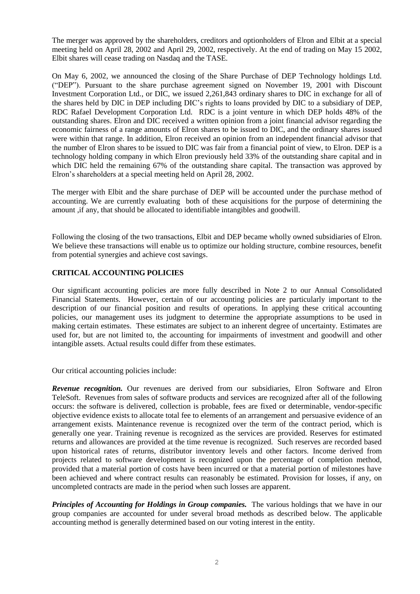The merger was approved by the shareholders, creditors and optionholders of Elron and Elbit at a special meeting held on April 28, 2002 and April 29, 2002, respectively. At the end of trading on May 15 2002, Elbit shares will cease trading on Nasdaq and the TASE.

On May 6, 2002, we announced the closing of the Share Purchase of DEP Technology holdings Ltd. ("DEP"). Pursuant to the share purchase agreement signed on November 19, 2001 with Discount Investment Corporation Ltd., or DIC, we issued 2,261,843 ordinary shares to DIC in exchange for all of the shares held by DIC in DEP including DIC's rights to loans provided by DIC to a subsidiary of DEP, RDC Rafael Development Corporation Ltd. RDC is a joint venture in which DEP holds 48% of the outstanding shares. Elron and DIC received a written opinion from a joint financial advisor regarding the economic fairness of a range amounts of Elron shares to be issued to DIC, and the ordinary shares issued were within that range. In addition, Elron received an opinion from an independent financial advisor that the number of Elron shares to be issued to DIC was fair from a financial point of view, to Elron. DEP is a technology holding company in which Elron previously held 33% of the outstanding share capital and in which DIC held the remaining 67% of the outstanding share capital. The transaction was approved by Elron's shareholders at a special meeting held on April 28, 2002.

The merger with Elbit and the share purchase of DEP will be accounted under the purchase method of accounting. We are currently evaluating both of these acquisitions for the purpose of determining the amount ,if any, that should be allocated to identifiable intangibles and goodwill.

Following the closing of the two transactions, Elbit and DEP became wholly owned subsidiaries of Elron. We believe these transactions will enable us to optimize our holding structure, combine resources, benefit from potential synergies and achieve cost savings.

## **CRITICAL ACCOUNTING POLICIES**

Our significant accounting policies are more fully described in Note 2 to our Annual Consolidated Financial Statements. However, certain of our accounting policies are particularly important to the description of our financial position and results of operations. In applying these critical accounting policies, our management uses its judgment to determine the appropriate assumptions to be used in making certain estimates. These estimates are subject to an inherent degree of uncertainty. Estimates are used for, but are not limited to, the accounting for impairments of investment and goodwill and other intangible assets. Actual results could differ from these estimates.

Our critical accounting policies include:

*Revenue recognition.* Our revenues are derived from our subsidiaries, Elron Software and Elron TeleSoft. Revenues from sales of software products and services are recognized after all of the following occurs: the software is delivered, collection is probable, fees are fixed or determinable, vendor-specific objective evidence exists to allocate total fee to elements of an arrangement and persuasive evidence of an arrangement exists. Maintenance revenue is recognized over the term of the contract period, which is generally one year. Training revenue is recognized as the services are provided. Reserves for estimated returns and allowances are provided at the time revenue is recognized. Such reserves are recorded based upon historical rates of returns, distributor inventory levels and other factors. Income derived from projects related to software development is recognized upon the percentage of completion method, provided that a material portion of costs have been incurred or that a material portion of milestones have been achieved and where contract results can reasonably be estimated. Provision for losses, if any, on uncompleted contracts are made in the period when such losses are apparent.

*Principles of Accounting for Holdings in Group companies.* The various holdings that we have in our group companies are accounted for under several broad methods as described below. The applicable accounting method is generally determined based on our voting interest in the entity.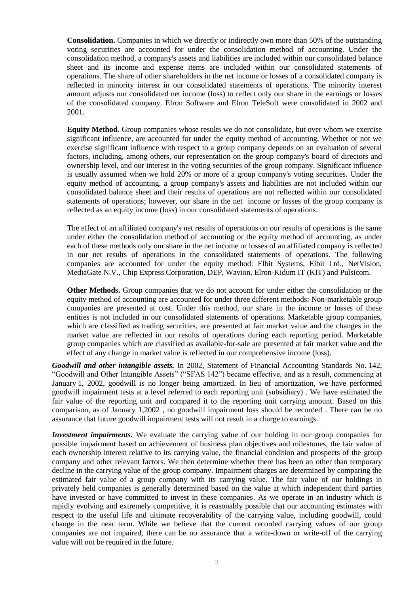**Consolidation.** Companies in which we directly or indirectly own more than 50% of the outstanding voting securities are accounted for under the consolidation method of accounting. Under the consolidation method, a company's assets and liabilities are included within our consolidated balance sheet and its income and expense items are included within our consolidated statements of operations. The share of other shareholders in the net income or losses of a consolidated company is reflected in minority interest in our consolidated statements of operations. The minority interest amount adjusts our consolidated net income (loss) to reflect only our share in the earnings or losses of the consolidated company. Elron Software and Elron TeleSoft were consolidated in 2002 and 2001.

**Equity Method.** Group companies whose results we do not consolidate, but over whom we exercise significant influence, are accounted for under the equity method of accounting. Whether or not we exercise significant influence with respect to a group company depends on an evaluation of several factors, including, among others, our representation on the group company's board of directors and ownership level, and our interest in the voting securities of the group company. Significant influence is usually assumed when we hold 20% or more of a group company's voting securities. Under the equity method of accounting, a group company's assets and liabilities are not included within our consolidated balance sheet and their results of operations are not reflected within our consolidated statements of operations; however, our share in the net income or losses of the group company is reflected as an equity income (loss) in our consolidated statements of operations.

The effect of an affiliated company's net results of operations on our results of operations is the same under either the consolidation method of accounting or the equity method of accounting, as under each of these methods only our share in the net income or losses of an affiliated company is reflected in our net results of operations in the consolidated statements of operations. The following companies are accounted for under the equity method: Elbit Systems, Elbit Ltd., NetVision, MediaGate N.V., Chip Express Corporation, DEP, Wavion, Elron-Kidum IT (KIT) and Pulsicom.

**Other Methods.** Group companies that we do not account for under either the consolidation or the equity method of accounting are accounted for under three different methods: Non-marketable group companies are presented at cost. Under this method, our share in the income or losses of these entities is not included in our consolidated statements of operations. Marketable group companies, which are classified as trading securities, are presented at fair market value and the changes in the market value are reflected in our results of operations during each reporting period. Marketable group companies which are classified as available-for-sale are presented at fair market value and the effect of any change in market value is reflected in our comprehensive income (loss).

*Goodwill and other intangible assets.* In 2002, Statement of Financial Accounting Standards No. 142, "Goodwill and Other Intangible Assets" ("SFAS 142") became effective, and as a result, commencing at January 1, 2002, goodwill is no longer being amortized. In lieu of amortization, we have performed goodwill impairment tests at a level referred to each reporting unit (subsidiary) . We have estimated the fair value of the reporting unit and compared it to the reporting unit carrying amount. Based on this comparison, as of January 1,2002 , no goodwill impairment loss should be recorded . There can be no assurance that future goodwill impairment tests will not result in a charge to earnings.

*Investment impairments.* We evaluate the carrying value of our holding in our group companies for possible impairment based on achievement of business plan objectives and milestones, the fair value of each ownership interest relative to its carrying value, the financial condition and prospects of the group company and other relevant factors. We then determine whether there has been an other than temporary decline in the carrying value of the group company. Impairment charges are determined by comparing the estimated fair value of a group company with its carrying value. The fair value of our holdings in privately held companies is generally determined based on the value at which independent third parties have invested or have committed to invest in these companies. As we operate in an industry which is rapidly evolving and extremely competitive, it is reasonably possible that our accounting estimates with respect to the useful life and ultimate recoverability of the carrying value, including goodwill, could change in the near term. While we believe that the current recorded carrying values of our group companies are not impaired, there can be no assurance that a write-down or write-off of the carrying value will not be required in the future.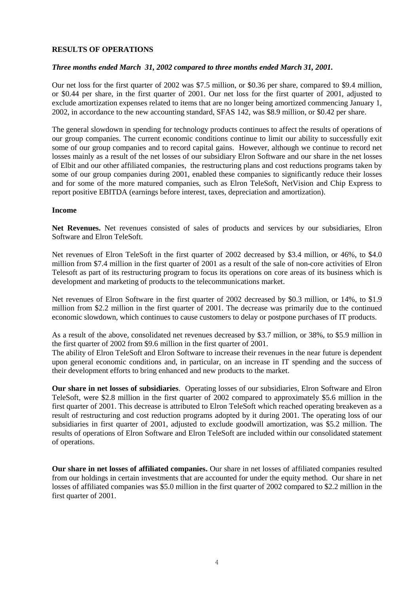### **RESULTS OF OPERATIONS**

#### *Three months ended March 31, 2002 compared to three months ended March 31, 2001.*

Our net loss for the first quarter of 2002 was \$7.5 million, or \$0.36 per share, compared to \$9.4 million, or \$0.44 per share, in the first quarter of 2001. Our net loss for the first quarter of 2001, adjusted to exclude amortization expenses related to items that are no longer being amortized commencing January 1, 2002, in accordance to the new accounting standard, SFAS 142, was \$8.9 million, or \$0.42 per share.

The general slowdown in spending for technology products continues to affect the results of operations of our group companies. The current economic conditions continue to limit our ability to successfully exit some of our group companies and to record capital gains. However, although we continue to record net losses mainly as a result of the net losses of our subsidiary Elron Software and our share in the net losses of Elbit and our other affiliated companies, the restructuring plans and cost reductions programs taken by some of our group companies during 2001, enabled these companies to significantly reduce their losses and for some of the more matured companies, such as Elron TeleSoft, NetVision and Chip Express to report positive EBITDA (earnings before interest, taxes, depreciation and amortization).

#### **Income**

**Net Revenues.** Net revenues consisted of sales of products and services by our subsidiaries, Elron Software and Elron TeleSoft.

Net revenues of Elron TeleSoft in the first quarter of 2002 decreased by \$3.4 million, or 46%, to \$4.0 million from \$7.4 million in the first quarter of 2001 as a result of the sale of non-core activities of Elron Telesoft as part of its restructuring program to focus its operations on core areas of its business which is development and marketing of products to the telecommunications market.

Net revenues of Elron Software in the first quarter of 2002 decreased by \$0.3 million, or 14%, to \$1.9 million from \$2.2 million in the first quarter of 2001. The decrease was primarily due to the continued economic slowdown, which continues to cause customers to delay or postpone purchases of IT products.

As a result of the above, consolidated net revenues decreased by \$3.7 million, or 38%, to \$5.9 million in the first quarter of 2002 from \$9.6 million in the first quarter of 2001.

The ability of Elron TeleSoft and Elron Software to increase their revenues in the near future is dependent upon general economic conditions and, in particular, on an increase in IT spending and the success of their development efforts to bring enhanced and new products to the market.

**Our share in net losses of subsidiaries**. Operating losses of our subsidiaries, Elron Software and Elron TeleSoft, were \$2.8 million in the first quarter of 2002 compared to approximately \$5.6 million in the first quarter of 2001. This decrease is attributed to Elron TeleSoft which reached operating breakeven as a result of restructuring and cost reduction programs adopted by it during 2001. The operating loss of our subsidiaries in first quarter of 2001, adjusted to exclude goodwill amortization, was \$5.2 million. The results of operations of Elron Software and Elron TeleSoft are included within our consolidated statement of operations.

**Our share in net losses of affiliated companies.** Our share in net losses of affiliated companies resulted from our holdings in certain investments that are accounted for under the equity method. Our share in net losses of affiliated companies was \$5.0 million in the first quarter of 2002 compared to \$2.2 million in the first quarter of 2001.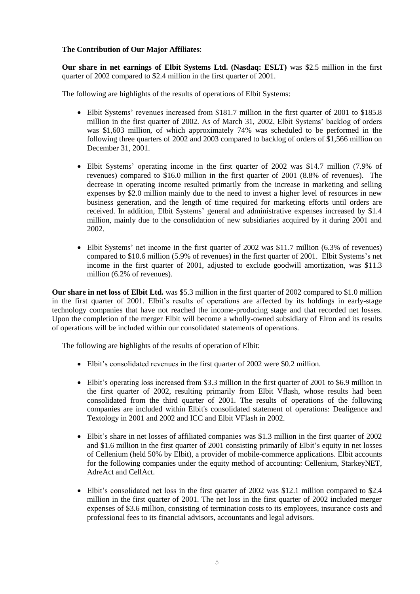## **The Contribution of Our Major Affiliates**:

**Our share in net earnings of Elbit Systems Ltd. (Nasdaq: ESLT)** was \$2.5 million in the first quarter of 2002 compared to \$2.4 million in the first quarter of 2001.

The following are highlights of the results of operations of Elbit Systems:

- Elbit Systems' revenues increased from \$181.7 million in the first quarter of 2001 to \$185.8 million in the first quarter of 2002. As of March 31, 2002, Elbit Systems' backlog of orders was \$1,603 million, of which approximately 74% was scheduled to be performed in the following three quarters of 2002 and 2003 compared to backlog of orders of \$1,566 million on December 31, 2001.
- Elbit Systems' operating income in the first quarter of 2002 was \$41.7 million (7.9% of revenues) compared to \$16.0 million in the first quarter of 2001 (8.8% of revenues). The decrease in operating income resulted primarily from the increase in marketing and selling expenses by \$2.0 million mainly due to the need to invest a higher level of resources in new business generation, and the length of time required for marketing efforts until orders are received. In addition, Elbit Systems' general and administrative expenses increased by \$1.4 million, mainly due to the consolidation of new subsidiaries acquired by it during 2001 and 2002.
- Elbit Systems' net income in the first quarter of 2002 was \$11.7 million (6.3% of revenues) compared to \$10.6 million (5.9% of revenues) in the first quarter of 2001. Elbit Systems's net income in the first quarter of 2001, adjusted to exclude goodwill amortization, was \$11.3 million (6.2% of revenues).

**Our share in net loss of Elbit Ltd.** was \$5.3 million in the first quarter of 2002 compared to \$1.0 million in the first quarter of 2001. Elbit's results of operations are affected by its holdings in early-stage technology companies that have not reached the income-producing stage and that recorded net losses. Upon the completion of the merger Elbit will become a wholly-owned subsidiary of Elron and its results of operations will be included within our consolidated statements of operations.

The following are highlights of the results of operation of Elbit:

- Elbit's consolidated revenues in the first quarter of 2002 were \$0.2 million.
- Elbit's operating loss increased from \$3.3 million in the first quarter of 2001 to \$6.9 million in the first quarter of 2002, resulting primarily from Elbit Vflash, whose results had been consolidated from the third quarter of 2001. The results of operations of the following companies are included within Elbit's consolidated statement of operations: Dealigence and Textology in 2001 and 2002 and ICC and Elbit VFlash in 2002.
- Elbit's share in net losses of affiliated companies was \$1.3 million in the first quarter of 2002 and \$1.6 million in the first quarter of 2001 consisting primarily of Elbit's equity in net losses of Cellenium (held 50% by Elbit), a provider of mobile-commerce applications. Elbit accounts for the following companies under the equity method of accounting: Cellenium, StarkeyNET, AdreAct and CellAct.
- Elbit's consolidated net loss in the first quarter of 2002 was \$12.1 million compared to \$2.4 million in the first quarter of 2001. The net loss in the first quarter of 2002 included merger expenses of \$3.6 million, consisting of termination costs to its employees, insurance costs and professional fees to its financial advisors, accountants and legal advisors.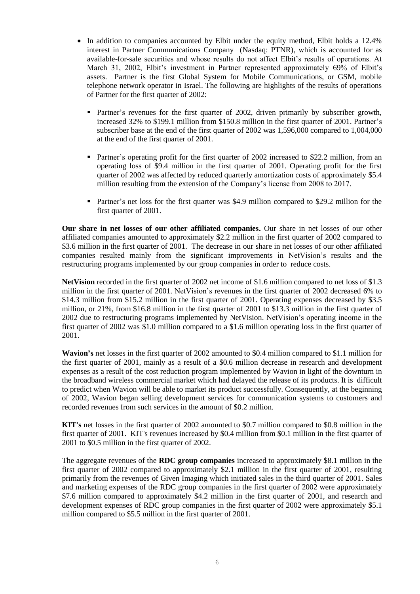- In addition to companies accounted by Elbit under the equity method, Elbit holds a 12.4% interest in Partner Communications Company (Nasdaq: PTNR), which is accounted for as available-for-sale securities and whose results do not affect Elbit's results of operations. At March 31, 2002, Elbit's investment in Partner represented approximately 69% of Elbit's assets. Partner is the first Global System for Mobile Communications, or GSM, mobile telephone network operator in Israel. The following are highlights of the results of operations of Partner for the first quarter of 2002:
	- **Partner's revenues for the first quarter of 2002, driven primarily by subscriber growth,** increased 32% to \$199.1 million from \$150.8 million in the first quarter of 2001. Partner's subscriber base at the end of the first quarter of 2002 was 1,596,000 compared to 1,004,000 at the end of the first quarter of 2001.
	- Partner's operating profit for the first quarter of 2002 increased to \$22.2 million, from an operating loss of \$9.4 million in the first quarter of 2001. Operating profit for the first quarter of 2002 was affected by reduced quarterly amortization costs of approximately \$5.4 million resulting from the extension of the Company's license from 2008 to 2017.
	- **Partner's net loss for the first quarter was \$4.9 million compared to \$29.2 million for the** first quarter of 2001.

**Our share in net losses of our other affiliated companies.** Our share in net losses of our other affiliated companies amounted to approximately \$2.2 million in the first quarter of 2002 compared to \$3.6 million in the first quarter of 2001. The decrease in our share in net losses of our other affiliated companies resulted mainly from the significant improvements in NetVision's results and the restructuring programs implemented by our group companies in order to reduce costs.

**NetVision** recorded in the first quarter of 2002 net income of \$1.6 million compared to net loss of \$1.3 million in the first quarter of 2001. NetVision's revenues in the first quarter of 2002 decreased 6% to \$14.3 million from \$15.2 million in the first quarter of 2001. Operating expenses decreased by \$3.5 million, or 21%, from \$16.8 million in the first quarter of 2001 to \$13.3 million in the first quarter of 2002 due to restructuring programs implemented by NetVision. NetVision's operating income in the first quarter of 2002 was \$1.0 million compared to a \$1.6 million operating loss in the first quarter of 2001.

**Wavion's** net losses in the first quarter of 2002 amounted to \$0.4 million compared to \$1.1 million for the first quarter of 2001, mainly as a result of a \$0.6 million decrease in research and development expenses as a result of the cost reduction program implemented by Wavion in light of the downturn in the broadband wireless commercial market which had delayed the release of its products. It is difficult to predict when Wavion will be able to market its product successfully. Consequently, at the beginning of 2002, Wavion began selling development services for communication systems to customers and recorded revenues from such services in the amount of \$0.2 million.

**KIT's** net losses in the first quarter of 2002 amounted to \$0.7 million compared to \$0.8 million in the first quarter of 2001. KIT's revenues increased by \$0.4 million from \$0.1 million in the first quarter of 2001 to \$0.5 million in the first quarter of 2002.

The aggregate revenues of the **RDC group companies** increased to approximately \$8.1 million in the first quarter of 2002 compared to approximately \$2.1 million in the first quarter of 2001, resulting primarily from the revenues of Given Imaging which initiated sales in the third quarter of 2001. Sales and marketing expenses of the RDC group companies in the first quarter of 2002 were approximately \$7.6 million compared to approximately \$4.2 million in the first quarter of 2001, and research and development expenses of RDC group companies in the first quarter of 2002 were approximately \$5.1 million compared to \$5.5 million in the first quarter of 2001.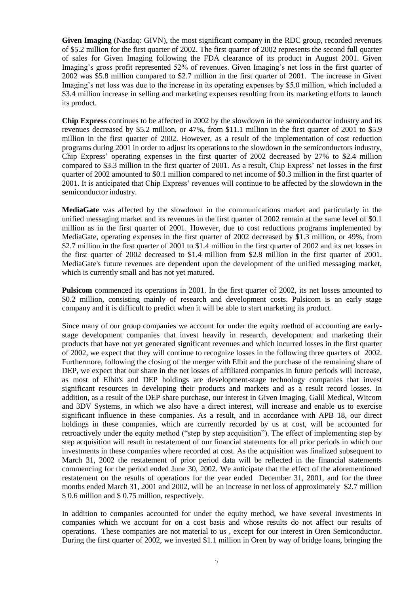**Given Imaging** (Nasdaq: GIVN), the most significant company in the RDC group, recorded revenues of \$5.2 million for the first quarter of 2002. The first quarter of 2002 represents the second full quarter of sales for Given Imaging following the FDA clearance of its product in August 2001. Given Imaging's gross profit represented 52% of revenues. Given Imaging's net loss in the first quarter of 2002 was \$5.8 million compared to \$2.7 million in the first quarter of 2001. The increase in Given Imaging's net loss was due to the increase in its operating expenses by \$5.0 million, which included a \$3.4 million increase in selling and marketing expenses resulting from its marketing efforts to launch its product.

**Chip Express** continues to be affected in 2002 by the slowdown in the semiconductor industry and its revenues decreased by \$5.2 million, or 47%, from \$11.1 million in the first quarter of 2001 to \$5.9 million in the first quarter of 2002. However, as a result of the implementation of cost reduction programs during 2001 in order to adjust its operations to the slowdown in the semiconductors industry, Chip Express' operating expenses in the first quarter of 2002 decreased by 27% to \$2.4 million compared to \$3.3 million in the first quarter of 2001. As a result, Chip Express' net losses in the first quarter of 2002 amounted to \$0.1 million compared to net income of \$0.3 million in the first quarter of 2001. It is anticipated that Chip Express' revenues will continue to be affected by the slowdown in the semiconductor industry.

**MediaGate** was affected by the slowdown in the communications market and particularly in the unified messaging market and its revenues in the first quarter of 2002 remain at the same level of \$0.1 million as in the first quarter of 2001. However, due to cost reductions programs implemented by MediaGate, operating expenses in the first quarter of 2002 decreased by \$1.3 million, or 49%, from \$2.7 million in the first quarter of 2001 to \$1.4 million in the first quarter of 2002 and its net losses in the first quarter of 2002 decreased to \$1.4 million from \$2.8 million in the first quarter of 2001. MediaGate's future revenues are dependent upon the development of the unified messaging market, which is currently small and has not yet matured.

**Pulsicom** commenced its operations in 2001. In the first quarter of 2002, its net losses amounted to \$0.2 million, consisting mainly of research and development costs. Pulsicom is an early stage company and it is difficult to predict when it will be able to start marketing its product.

Since many of our group companies we account for under the equity method of accounting are earlystage development companies that invest heavily in research, development and marketing their products that have not yet generated significant revenues and which incurred losses in the first quarter of 2002, we expect that they will continue to recognize losses in the following three quarters of 2002. Furthermore, following the closing of the merger with Elbit and the purchase of the remaining share of DEP, we expect that our share in the net losses of affiliated companies in future periods will increase, as most of Elbit's and DEP holdings are development-stage technology companies that invest significant resources in developing their products and markets and as a result record losses. In addition, as a result of the DEP share purchase, our interest in Given Imaging, Galil Medical, Witcom and 3DV Systems, in which we also have a direct interest, will increase and enable us to exercise significant influence in these companies. As a result, and in accordance with APB 18, our direct holdings in these companies, which are currently recorded by us at cost, will be accounted for retroactively under the equity method ("step by step acquisition"). The effect of implementing step by step acquisition will result in restatement of our financial statements for all prior periods in which our investments in these companies where recorded at cost. As the acquisition was finalized subsequent to March 31, 2002 the restatement of prior period data will be reflected in the financial statements commencing for the period ended June 30, 2002. We anticipate that the effect of the aforementioned restatement on the results of operations for the year ended December 31, 2001, and for the three months ended March 31, 2001 and 2002, will be an increase in net loss of approximately \$2.7 million \$ 0.6 million and \$ 0.75 million, respectively.

In addition to companies accounted for under the equity method, we have several investments in companies which we account for on a cost basis and whose results do not affect our results of operations. These companies are not material to us , except for our interest in Oren Semiconductor. During the first quarter of 2002, we invested \$1.1 million in Oren by way of bridge loans, bringing the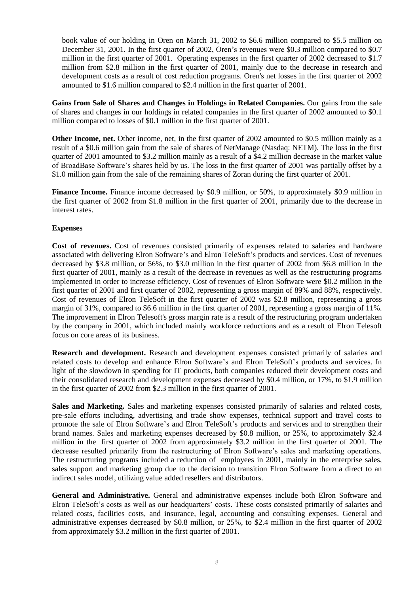book value of our holding in Oren on March 31, 2002 to \$6.6 million compared to \$5.5 million on December 31, 2001. In the first quarter of 2002, Oren's revenues were \$0.3 million compared to \$0.7 million in the first quarter of 2001. Operating expenses in the first quarter of 2002 decreased to \$1.7 million from \$2.8 million in the first quarter of 2001, mainly due to the decrease in research and development costs as a result of cost reduction programs. Oren's net losses in the first quarter of 2002 amounted to \$1.6 million compared to \$2.4 million in the first quarter of 2001.

**Gains from Sale of Shares and Changes in Holdings in Related Companies.** Our gains from the sale of shares and changes in our holdings in related companies in the first quarter of 2002 amounted to \$0.1 million compared to losses of \$0.1 million in the first quarter of 2001.

**Other Income, net.** Other income, net, in the first quarter of 2002 amounted to \$0.5 million mainly as a result of a \$0.6 million gain from the sale of shares of NetManage (Nasdaq: NETM). The loss in the first quarter of 2001 amounted to \$3.2 million mainly as a result of a \$4.2 million decrease in the market value of BroadBase Software's shares held by us. The loss in the first quarter of 2001 was partially offset by a \$1.0 million gain from the sale of the remaining shares of Zoran during the first quarter of 2001.

**Finance Income.** Finance income decreased by \$0.9 million, or 50%, to approximately \$0.9 million in the first quarter of 2002 from \$1.8 million in the first quarter of 2001, primarily due to the decrease in interest rates.

## **Expenses**

**Cost of revenues.** Cost of revenues consisted primarily of expenses related to salaries and hardware associated with delivering Elron Software's and Elron TeleSoft's products and services. Cost of revenues decreased by \$3.8 million, or 56%, to \$3.0 million in the first quarter of 2002 from \$6.8 million in the first quarter of 2001, mainly as a result of the decrease in revenues as well as the restructuring programs implemented in order to increase efficiency. Cost of revenues of Elron Software were \$0.2 million in the first quarter of 2001 and first quarter of 2002, representing a gross margin of 89% and 88%, respectively. Cost of revenues of Elron TeleSoft in the first quarter of 2002 was \$2.8 million, representing a gross margin of 31%, compared to \$6.6 million in the first quarter of 2001, representing a gross margin of 11%. The improvement in Elron Telesoft's gross margin rate is a result of the restructuring program undertaken by the company in 2001, which included mainly workforce reductions and as a result of Elron Telesoft focus on core areas of its business.

**Research and development.** Research and development expenses consisted primarily of salaries and related costs to develop and enhance Elron Software's and Elron TeleSoft's products and services. In light of the slowdown in spending for IT products, both companies reduced their development costs and their consolidated research and development expenses decreased by \$0.4 million, or 17%, to \$1.9 million in the first quarter of 2002 from \$2.3 million in the first quarter of 2001.

**Sales and Marketing.** Sales and marketing expenses consisted primarily of salaries and related costs, pre-sale efforts including, advertising and trade show expenses, technical support and travel costs to promote the sale of Elron Software's and Elron TeleSoft's products and services and to strengthen their brand names. Sales and marketing expenses decreased by \$0.8 million, or 25%, to approximately \$2.4 million in the first quarter of 2002 from approximately \$3.2 million in the first quarter of 2001. The decrease resulted primarily from the restructuring of Elron Software's sales and marketing operations. The restructuring programs included a reduction of employees in 2001, mainly in the enterprise sales, sales support and marketing group due to the decision to transition Elron Software from a direct to an indirect sales model, utilizing value added resellers and distributors.

**General and Administrative.** General and administrative expenses include both Elron Software and Elron TeleSoft's costs as well as our headquarters' costs. These costs consisted primarily of salaries and related costs, facilities costs, and insurance, legal, accounting and consulting expenses. General and administrative expenses decreased by \$0.8 million, or 25%, to \$2.4 million in the first quarter of 2002 from approximately \$3.2 million in the first quarter of 2001.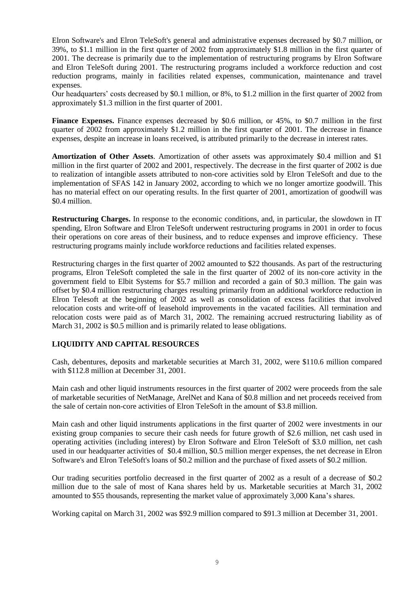Elron Software's and Elron TeleSoft's general and administrative expenses decreased by \$0.7 million, or 39%, to \$1.1 million in the first quarter of 2002 from approximately \$1.8 million in the first quarter of 2001. The decrease is primarily due to the implementation of restructuring programs by Elron Software and Elron TeleSoft during 2001. The restructuring programs included a workforce reduction and cost reduction programs, mainly in facilities related expenses, communication, maintenance and travel expenses.

Our headquarters' costs decreased by \$0.1 million, or 8%, to \$1.2 million in the first quarter of 2002 from approximately \$1.3 million in the first quarter of 2001.

**Finance Expenses.** Finance expenses decreased by \$0.6 million, or 45%, to \$0.7 million in the first quarter of 2002 from approximately \$1.2 million in the first quarter of 2001. The decrease in finance expenses, despite an increase in loans received, is attributed primarily to the decrease in interest rates.

**Amortization of Other Assets**. Amortization of other assets was approximately \$0.4 million and \$1 million in the first quarter of 2002 and 2001, respectively. The decrease in the first quarter of 2002 is due to realization of intangible assets attributed to non-core activities sold by Elron TeleSoft and due to the implementation of SFAS 142 in January 2002, according to which we no longer amortize goodwill. This has no material effect on our operating results. In the first quarter of 2001, amortization of goodwill was \$0.4 million.

**Restructuring Charges.** In response to the economic conditions, and, in particular, the slowdown in IT spending, Elron Software and Elron TeleSoft underwent restructuring programs in 2001 in order to focus their operations on core areas of their business, and to reduce expenses and improve efficiency. These restructuring programs mainly include workforce reductions and facilities related expenses.

Restructuring charges in the first quarter of 2002 amounted to \$22 thousands. As part of the restructuring programs, Elron TeleSoft completed the sale in the first quarter of 2002 of its non-core activity in the government field to Elbit Systems for \$5.7 million and recorded a gain of \$0.3 million. The gain was offset by \$0.4 million restructuring charges resulting primarily from an additional workforce reduction in Elron Telesoft at the beginning of 2002 as well as consolidation of excess facilities that involved relocation costs and write-off of leasehold improvements in the vacated facilities. All termination and relocation costs were paid as of March 31, 2002. The remaining accrued restructuring liability as of March 31, 2002 is \$0.5 million and is primarily related to lease obligations.

### **LIQUIDITY AND CAPITAL RESOURCES**

Cash, debentures, deposits and marketable securities at March 31, 2002, were \$110.6 million compared with \$112.8 million at December 31, 2001.

Main cash and other liquid instruments resources in the first quarter of 2002 were proceeds from the sale of marketable securities of NetManage, ArelNet and Kana of \$0.8 million and net proceeds received from the sale of certain non-core activities of Elron TeleSoft in the amount of \$3.8 million.

Main cash and other liquid instruments applications in the first quarter of 2002 were investments in our existing group companies to secure their cash needs for future growth of \$2.6 million, net cash used in operating activities (including interest) by Elron Software and Elron TeleSoft of \$3.0 million, net cash used in our headquarter activities of \$0.4 million, \$0.5 million merger expenses, the net decrease in Elron Software's and Elron TeleSoft's loans of \$0.2 million and the purchase of fixed assets of \$0.2 million.

Our trading securities portfolio decreased in the first quarter of 2002 as a result of a decrease of \$0.2 million due to the sale of most of Kana shares held by us. Marketable securities at March 31, 2002 amounted to \$55 thousands, representing the market value of approximately 3,000 Kana's shares.

Working capital on March 31, 2002 was \$92.9 million compared to \$91.3 million at December 31, 2001.